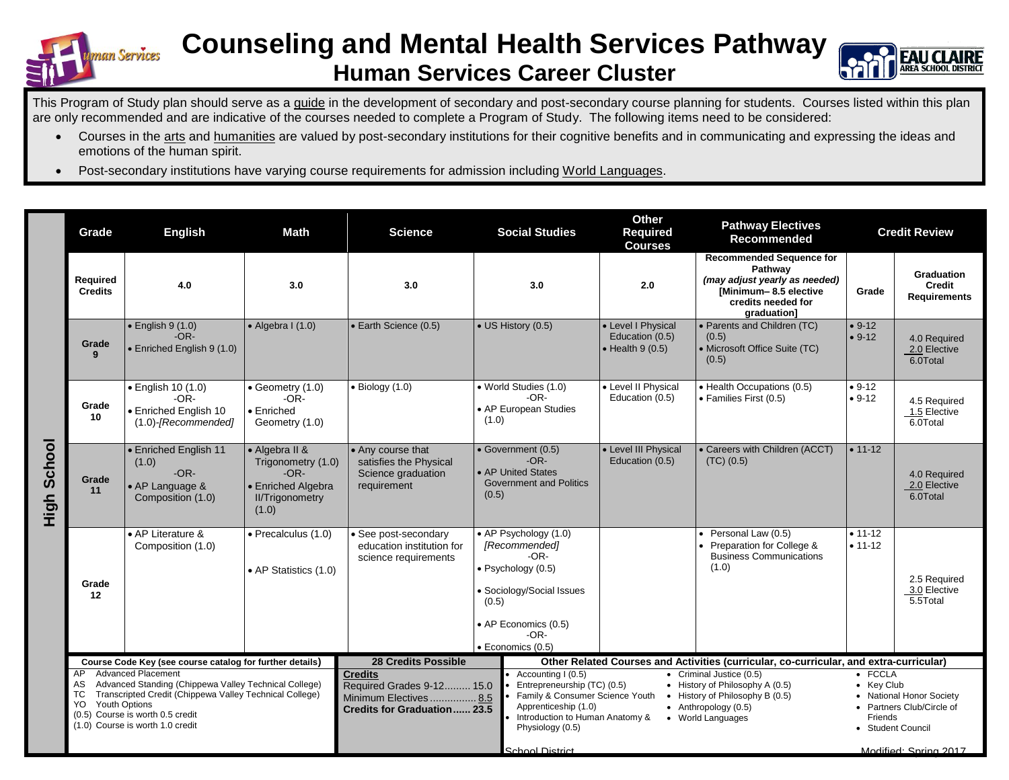

## **Counseling and Mental Health Services Pathway Human Services Career Cluster**



This Program of Study plan should serve as a guide in the development of secondary and post-secondary course planning for students. Courses listed within this plan are only recommended and are indicative of the courses needed to complete a Program of Study. The following items need to be considered:

- Courses in the arts and humanities are valued by post-secondary institutions for their cognitive benefits and in communicating and expressing the ideas and emotions of the human spirit.
- Post-secondary institutions have varying course requirements for admission including World Languages.

|                | Grade                                                                                                                                                               | <b>English</b>                                                                   | <b>Math</b>                                                                                             | <b>Science</b>                                                                   | <b>Social Studies</b>                                                                                                                                                     | <b>Other</b><br>Required<br><b>Courses</b>                                                                                                                                         | <b>Pathway Electives</b><br>Recommended                                                                                                   | <b>Credit Review</b>   |                                                                                       |  |
|----------------|---------------------------------------------------------------------------------------------------------------------------------------------------------------------|----------------------------------------------------------------------------------|---------------------------------------------------------------------------------------------------------|----------------------------------------------------------------------------------|---------------------------------------------------------------------------------------------------------------------------------------------------------------------------|------------------------------------------------------------------------------------------------------------------------------------------------------------------------------------|-------------------------------------------------------------------------------------------------------------------------------------------|------------------------|---------------------------------------------------------------------------------------|--|
|                | Required<br><b>Credits</b>                                                                                                                                          | 4.0                                                                              | 3.0                                                                                                     | 3.0                                                                              | 3.0                                                                                                                                                                       | 2.0                                                                                                                                                                                | <b>Recommended Sequence for</b><br>Pathway<br>(may adjust yearly as needed)<br>[Minimum-8.5 elective<br>credits needed for<br>graduation] | Grade                  | <b>Graduation</b><br><b>Credit</b><br><b>Requirements</b>                             |  |
|                | Grade<br>9                                                                                                                                                          | $\bullet$ English 9 (1.0)<br>$-OR-$<br>• Enriched English 9 (1.0)                | $\bullet$ Algebra I (1.0)                                                                               | • Earth Science (0.5)                                                            | • US History (0.5)                                                                                                                                                        | • Level I Physical<br>Education (0.5)<br>$\bullet$ Health 9 (0.5)                                                                                                                  | • Parents and Children (TC)<br>(0.5)<br>• Microsoft Office Suite (TC)<br>(0.5)                                                            | $• 9-12$<br>$• 9-12$   | 4.0 Required<br>2.0 Elective<br>6.0Total                                              |  |
| School<br>High | Grade<br>10                                                                                                                                                         | • English 10 (1.0)<br>$-OR-$<br>• Enriched English 10<br>$(1.0)$ -[Recommended]  | • Geometry (1.0)<br>$-OR-$<br>• Enriched<br>Geometry (1.0)                                              | $\bullet$ Biology (1.0)                                                          | • World Studies (1.0)<br>$-OR-$<br>• AP European Studies<br>(1.0)                                                                                                         | • Level II Physical<br>· Health Occupations (0.5)<br>Education (0.5)<br>• Families First (0.5)                                                                                     |                                                                                                                                           | $• 9-12$<br>$• 9-12$   | 4.5 Required<br>1.5 Elective<br>6.0Total                                              |  |
|                | Grade<br>11                                                                                                                                                         | • Enriched English 11<br>(1.0)<br>$-OR-$<br>• AP Language &<br>Composition (1.0) | • Algebra II &<br>Trigonometry (1.0)<br>$-OR-$<br>• Enriched Algebra<br><b>II/Trigonometry</b><br>(1.0) | • Any course that<br>satisfies the Physical<br>Science graduation<br>requirement | • Government (0.5)<br>$-OR-$<br>• AP United States<br><b>Government and Politics</b><br>(0.5)                                                                             | • Level III Physical<br>Education (0.5)                                                                                                                                            | • Careers with Children (ACCT)<br>(TC) (0.5)                                                                                              | $• 11-12$              | 4.0 Required<br>2.0 Elective<br>6.0Total                                              |  |
|                | Grade<br>12                                                                                                                                                         | • AP Literature &<br>Composition (1.0)                                           | · Precalculus (1.0)<br>• AP Statistics (1.0)                                                            | · See post-secondary<br>education institution for<br>science requirements        | • AP Psychology (1.0)<br>[Recommended]<br>-OR-<br>· Psychology (0.5)<br>· Sociology/Social Issues<br>(0.5)<br>• AP Economics (0.5)<br>$-OR-$<br>$\bullet$ Economics (0.5) |                                                                                                                                                                                    | • Personal Law (0.5)<br>Preparation for College &<br><b>Business Communications</b><br>(1.0)                                              | $• 11-12$<br>$• 11-12$ | 2.5 Required<br>3.0 Elective<br>5.5Total                                              |  |
|                | Course Code Key (see course catalog for further details)<br><b>Advanced Placement</b><br>AP<br>Advanced Standing (Chippewa Valley Technical College)<br>AS          |                                                                                  |                                                                                                         | <b>28 Credits Possible</b><br><b>Credits</b><br>Required Grades 9-12 15.0        | Accounting I (0.5)<br>Entrepreneurship (TC) (0.5)                                                                                                                         | Other Related Courses and Activities (curricular, co-curricular, and extra-curricular)<br>• Criminal Justice (0.5)<br>• History of Philosophy A (0.5)                              |                                                                                                                                           |                        | $\bullet$ FCCLA<br>• Key Club                                                         |  |
|                | Transcripted Credit (Chippewa Valley Technical College)<br>TC<br><b>Youth Options</b><br>YO<br>(0.5) Course is worth 0.5 credit<br>(1.0) Course is worth 1.0 credit |                                                                                  |                                                                                                         | Minimum Electives 8.5<br><b>Credits for Graduation 23.5</b>                      | Physiology (0.5)                                                                                                                                                          | Family & Consumer Science Youth<br>• History of Philosophy B (0.5)<br>Apprenticeship (1.0)<br>$\bullet$ Anthropology (0.5)<br>Introduction to Human Anatomy &<br>• World Languages |                                                                                                                                           |                        | • National Honor Society<br>• Partners Club/Circle of<br>Friends<br>• Student Council |  |
|                |                                                                                                                                                                     |                                                                                  |                                                                                                         |                                                                                  | School District                                                                                                                                                           |                                                                                                                                                                                    |                                                                                                                                           |                        | Modified: Spring 2017                                                                 |  |